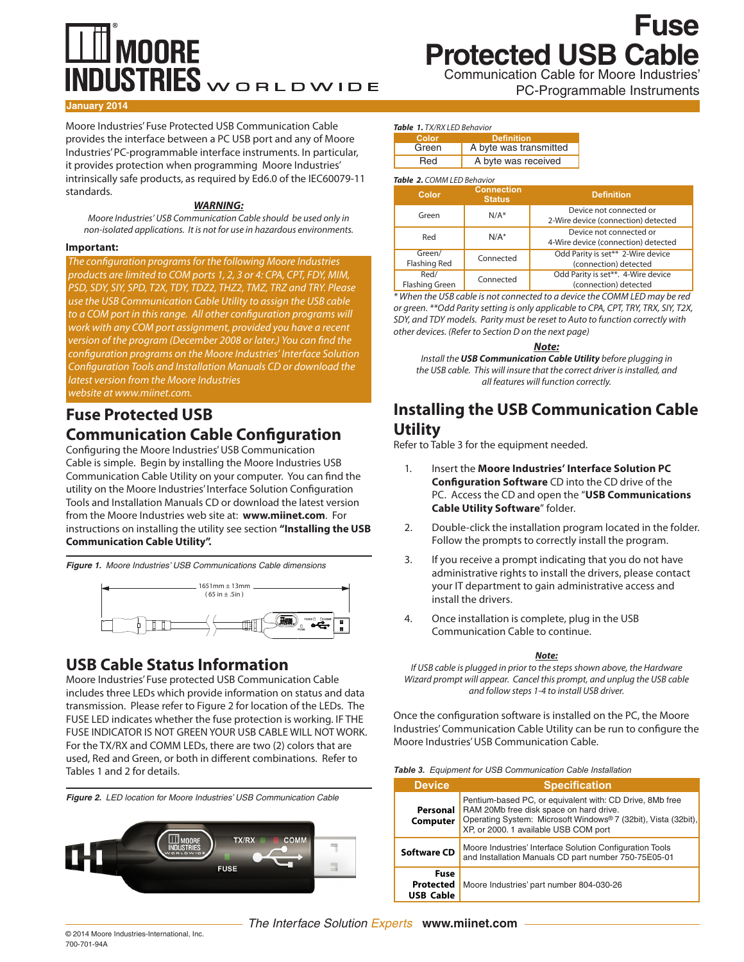# **MOORE**  $\overline{\text{NDUSTRIES}}$ WORLDWIDE

Communication Cable for Moore Industries' **Fuse Protected USB Cable**

PC-Programmable Instruments

#### **January 2014**

Moore Industries' Fuse Protected USB Communication Cable provides the interface between a PC USB port and any of Moore Industries' PC-programmable interface instruments. In particular, it provides protection when programming Moore Industries' intrinsically safe products, as required by Ed6.0 of the IEC60079-11 standards.

#### *WARNING:*

*Moore Industries' USB Communication Cable should be used only in non-isolated applications. It is not for use in hazardous environments.* 

#### **Important:**

*The configuration programs for the following Moore Industries products are limited to COM ports 1, 2, 3 or 4: CPA, CPT, FDY, MIM, PSD, SDY, SIY, SPD, T2X, TDY, TDZ2, THZ2, TMZ, TRZ and TRY. Please use the USB Communication Cable Utility to assign the USB cable to a COM port in this range. All other configuration programs will work with any COM port assignment, provided you have a recent version of the program (December 2008 or later.) You can find the configuration programs on the Moore Industries' Interface Solution Configuration Tools and Installation Manuals CD or download the latest version from the Moore Industries website at [www.miinet.com](http://www.miinet.com).*

## **Fuse Protected USB Communication Cable Configuration**

Configuring the Moore Industries' USB Communication Cable is simple. Begin by installing the Moore Industries USB Communication Cable Utility on your computer. You can find the utility on the Moore Industries' Interface Solution Configuration Tools and Installation Manuals CD or download the latest version from the Moore Industries web site at: **[www.miinet.com](http://www.miinet.com)**. For instructions on installing the utility see section **"Installing the USB Communication Cable Utility".**

*Figure 1. Moore Industries' USB Communications Cable dimensions*



### **USB Cable Status Information**

Moore Industries' Fuse protected USB Communication Cable includes three LEDs which provide information on status and data transmission. Please refer to Figure 2 for location of the LEDs. The FUSE LED indicates whether the fuse protection is working. IF THE FUSE INDICATOR IS NOT GREEN YOUR USB CABLE WILL NOT WORK. For the TX/RX and COMM LEDs, there are two (2) colors that are used, Red and Green, or both in different combinations. Refer to Tables 1 and 2 for details.



#### *Table 1. TX/RX LED Behavior*

| Color | <b>Definition</b>      |
|-------|------------------------|
| Green | A byte was transmitted |
| Red   | A byte was received    |

#### *Table 2. COMM LED Behavior*

| Color                         | <b>Connection</b><br><b>Status</b> | <b>Definition</b>                                              |
|-------------------------------|------------------------------------|----------------------------------------------------------------|
| Green                         | $N/A^*$                            | Device not connected or<br>2-Wire device (connection) detected |
| Red                           | $N/A^*$                            | Device not connected or<br>4-Wire device (connection) detected |
| Green/<br>Flashing Red        | Connected                          | Odd Parity is set** 2-Wire device<br>(connection) detected     |
| Red/<br><b>Flashing Green</b> | Connected                          | Odd Parity is set**. 4-Wire device<br>(connection) detected    |

*\* When the USB cable is not connected to a device the COMM LED may be red or green. \*\*Odd Parity setting is only applicable to CPA, CPT, TRY, TRX, SIY, T2X, SDY, and TDY models. Parity must be reset to Auto to function correctly with other devices. (Refer to Section D on the next page)* 

#### *Note:*

*Install the USB Communication Cable Utility before plugging in the USB cable. This will insure that the correct driver is installed, and all features will function correctly.*

## **Installing the USB Communication Cable Utility**

Refer to Table 3 for the equipment needed.

- 1. Insert the **Moore Industries' Interface Solution PC Configuration Software** CD into the CD drive of the PC. Access the CD and open the "**USB Communications Cable Utility Software**" folder.
- 2. Double-click the installation program located in the folder. Follow the prompts to correctly install the program.
- 3. If you receive a prompt indicating that you do not have administrative rights to install the drivers, please contact your IT department to gain administrative access and install the drivers.
- 4. Once installation is complete, plug in the USB Communication Cable to continue.

#### *Note:*

*If USB cable is plugged in prior to the steps shown above, the Hardware Wizard prompt will appear. Cancel this prompt, and unplug the USB cable and follow steps 1-4 to install USB driver.*

Once the configuration software is installed on the PC, the Moore Industries' Communication Cable Utility can be run to configure the Moore Industries' USB Communication Cable.

| Table 3. Equipment for USB Communication Cable Installation |  |
|-------------------------------------------------------------|--|
|-------------------------------------------------------------|--|

| <b>Device</b>                                       | <b>Specification</b>                                                                                                                                                                                           |
|-----------------------------------------------------|----------------------------------------------------------------------------------------------------------------------------------------------------------------------------------------------------------------|
| Personal<br>Computer                                | Pentium-based PC, or equivalent with: CD Drive, 8Mb free<br>RAM 20Mb free disk space on hard drive.<br>Operating System: Microsoft Windows® 7 (32bit), Vista (32bit),<br>XP, or 2000. 1 available USB COM port |
| <b>Software CD</b>                                  | Moore Industries' Interface Solution Configuration Tools<br>and Installation Manuals CD part number 750-75E05-01                                                                                               |
| <b>Fuse</b><br><b>Protected</b><br><b>USB Cable</b> | Moore Industries' part number 804-030-26                                                                                                                                                                       |